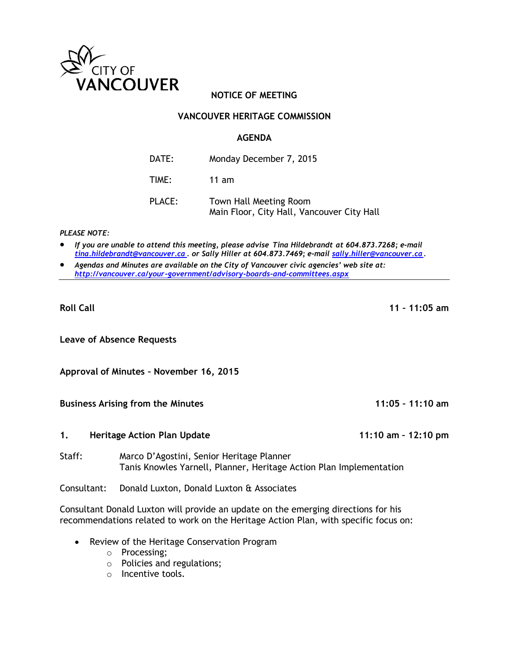

# **NOTICE OF MEETING**

## **VANCOUVER HERITAGE COMMISSION**

#### **AGENDA**

- DATE: Monday December 7, 2015
- TIME: 11 am
- PLACE: Town Hall Meeting Room Main Floor, City Hall, Vancouver City Hall

*PLEASE NOTE:*

- *If you are unable to attend this meeting, please advise Tina Hildebrandt at 604.873.7268; e-mail [tina.hildebrandt@vancouver.ca](mailto:tina.hildebrandt@vancouver.ca) . or Sally Hiller at 604.873.7469; e-mail [sally.hiller@vancouver.ca.](mailto:sally.hiller@vancouver.ca)*
- *Agendas and Minutes are available on the City of Vancouver civic agencies' web site at: <http://vancouver.ca/your-government/advisory-boards-and-committees.aspx>*

**Leave of Absence Requests**

**Approval of Minutes – November 16, 2015**

**Business Arising from the Minutes 11:05 – 11:10 am**

- **1. Heritage Action Plan Update 11:10 am – 12:10 pm**
- Staff: Marco D'Agostini, Senior Heritage Planner Tanis Knowles Yarnell, Planner, Heritage Action Plan Implementation

Consultant: Donald Luxton, Donald Luxton & Associates

Consultant Donald Luxton will provide an update on the emerging directions for his recommendations related to work on the Heritage Action Plan, with specific focus on:

- Review of the Heritage Conservation Program
	- o Processing;
	- o Policies and regulations;
	- o Incentive tools.

**Roll Call 11 – 11:05 am**